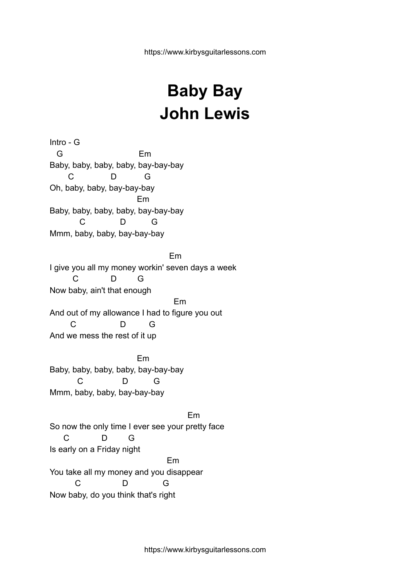## **Baby Bay John Lewis**

Intro - G G Em Baby, baby, baby, baby, bay-bay-bay C D G Oh, baby, baby, bay-bay-bay Em Baby, baby, baby, baby, bay-bay-bay C D G Mmm, baby, baby, bay-bay-bay Em I give you all my money workin' seven days a week C D G Now baby, ain't that enough Em And out of my allowance I had to figure you out C D G And we mess the rest of it up

Em Baby, baby, baby, baby, bay-bay-bay C D G Mmm, baby, baby, bay-bay-bay

Em So now the only time I ever see your pretty face C D G Is early on a Friday night Em You take all my money and you disappear C D G Now baby, do you think that's right